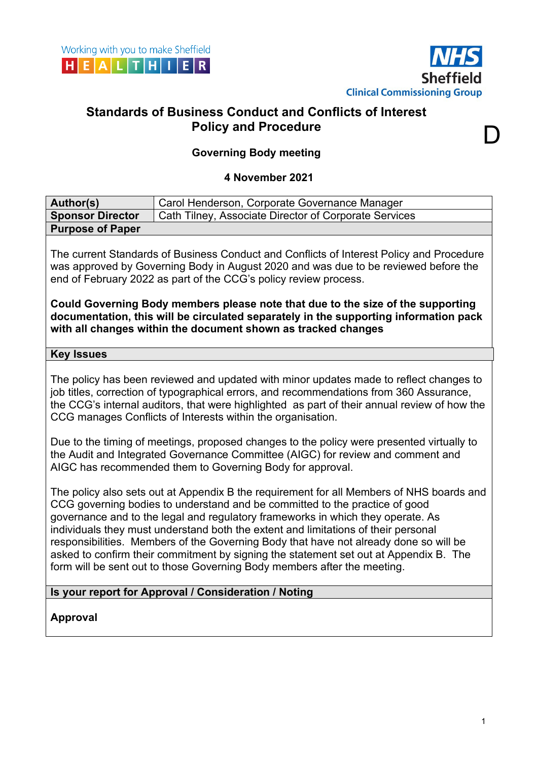

D

# **Standards of Business Conduct and Conflicts of Interest Policy and Procedure**

## **Governing Body meeting**

#### **4 November 2021**

| Author(s)                                                                                                                                                                                                                                                                                                                                                                                                                                                                                                                                                                                                      | Carol Henderson, Corporate Governance Manager         |
|----------------------------------------------------------------------------------------------------------------------------------------------------------------------------------------------------------------------------------------------------------------------------------------------------------------------------------------------------------------------------------------------------------------------------------------------------------------------------------------------------------------------------------------------------------------------------------------------------------------|-------------------------------------------------------|
| <b>Sponsor Director</b>                                                                                                                                                                                                                                                                                                                                                                                                                                                                                                                                                                                        | Cath Tilney, Associate Director of Corporate Services |
| <b>Purpose of Paper</b>                                                                                                                                                                                                                                                                                                                                                                                                                                                                                                                                                                                        |                                                       |
| The current Standards of Business Conduct and Conflicts of Interest Policy and Procedure<br>was approved by Governing Body in August 2020 and was due to be reviewed before the<br>end of February 2022 as part of the CCG's policy review process.<br>Could Governing Body members please note that due to the size of the supporting<br>documentation, this will be circulated separately in the supporting information pack<br>with all changes within the document shown as tracked changes                                                                                                                |                                                       |
| <b>Key Issues</b>                                                                                                                                                                                                                                                                                                                                                                                                                                                                                                                                                                                              |                                                       |
| The policy has been reviewed and updated with minor updates made to reflect changes to<br>job titles, correction of typographical errors, and recommendations from 360 Assurance,<br>the CCG's internal auditors, that were highlighted as part of their annual review of how the<br>CCG manages Conflicts of Interests within the organisation.<br>Due to the timing of meetings, proposed changes to the policy were presented virtually to<br>the Audit and Integrated Governance Committee (AIGC) for review and comment and<br>AIGC has recommended them to Governing Body for approval.                  |                                                       |
| The policy also sets out at Appendix B the requirement for all Members of NHS boards and<br>CCG governing bodies to understand and be committed to the practice of good<br>governance and to the legal and regulatory frameworks in which they operate. As<br>individuals they must understand both the extent and limitations of their personal<br>responsibilities. Members of the Governing Body that have not already done so will be<br>asked to confirm their commitment by signing the statement set out at Appendix B. The<br>form will be sent out to those Governing Body members after the meeting. |                                                       |
| Is your report for Approval / Consideration / Noting                                                                                                                                                                                                                                                                                                                                                                                                                                                                                                                                                           |                                                       |
|                                                                                                                                                                                                                                                                                                                                                                                                                                                                                                                                                                                                                |                                                       |

**Approval**